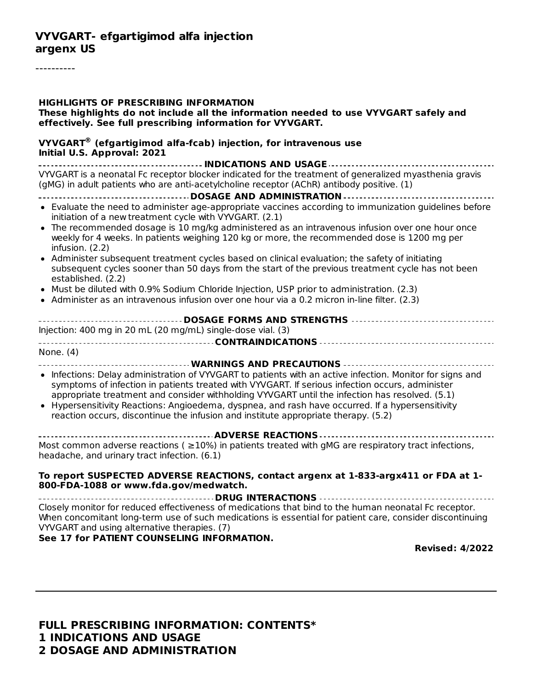#### **VYVGART- efgartigimod alfa injection argenx US**

----------

| <b>HIGHLIGHTS OF PRESCRIBING INFORMATION</b><br>These highlights do not include all the information needed to use VYVGART safely and<br>effectively. See full prescribing information for VYVGART.                                                                                                                                                                                                                                                                                                                                                                                                                                                                                                                                                                                                                   |
|----------------------------------------------------------------------------------------------------------------------------------------------------------------------------------------------------------------------------------------------------------------------------------------------------------------------------------------------------------------------------------------------------------------------------------------------------------------------------------------------------------------------------------------------------------------------------------------------------------------------------------------------------------------------------------------------------------------------------------------------------------------------------------------------------------------------|
| $VYVGART^®$ (efgartigimod alfa-fcab) injection, for intravenous use<br>Initial U.S. Approval: 2021                                                                                                                                                                                                                                                                                                                                                                                                                                                                                                                                                                                                                                                                                                                   |
| VYVGART is a neonatal Fc receptor blocker indicated for the treatment of generalized myasthenia gravis<br>(gMG) in adult patients who are anti-acetylcholine receptor (AChR) antibody positive. (1)                                                                                                                                                                                                                                                                                                                                                                                                                                                                                                                                                                                                                  |
| • Evaluate the need to administer age-appropriate vaccines according to immunization guidelines before<br>initiation of a new treatment cycle with VYVGART. (2.1)<br>• The recommended dosage is 10 mg/kg administered as an intravenous infusion over one hour once<br>weekly for 4 weeks. In patients weighing 120 kg or more, the recommended dose is 1200 mg per<br>infusion. $(2.2)$<br>• Administer subsequent treatment cycles based on clinical evaluation; the safety of initiating<br>subsequent cycles sooner than 50 days from the start of the previous treatment cycle has not been<br>established. (2.2)<br>• Must be diluted with 0.9% Sodium Chloride Injection, USP prior to administration. (2.3)<br>• Administer as an intravenous infusion over one hour via a 0.2 micron in-line filter. (2.3) |
| Injection: 400 mg in 20 mL (20 mg/mL) single-dose vial. (3)                                                                                                                                                                                                                                                                                                                                                                                                                                                                                                                                                                                                                                                                                                                                                          |
| None. (4)<br>___________________________________WARNINGS_AND_PRECAUTIONS _____________________<br>• Infections: Delay administration of VYVGART to patients with an active infection. Monitor for signs and<br>symptoms of infection in patients treated with VYVGART. If serious infection occurs, administer<br>appropriate treatment and consider withholding VYVGART until the infection has resolved. (5.1)<br>• Hypersensitivity Reactions: Angioedema, dyspnea, and rash have occurred. If a hypersensitivity<br>reaction occurs, discontinue the infusion and institute appropriate therapy. (5.2)                                                                                                                                                                                                           |
| Most common adverse reactions ( $\geq$ 10%) in patients treated with gMG are respiratory tract infections,<br>headache, and urinary tract infection. (6.1)                                                                                                                                                                                                                                                                                                                                                                                                                                                                                                                                                                                                                                                           |
| To report SUSPECTED ADVERSE REACTIONS, contact argenx at 1-833-argx411 or FDA at 1-<br>800-FDA-1088 or www.fda.gov/medwatch.                                                                                                                                                                                                                                                                                                                                                                                                                                                                                                                                                                                                                                                                                         |
| Closely monitor for reduced effectiveness of medications that bind to the human neonatal Fc receptor.                                                                                                                                                                                                                                                                                                                                                                                                                                                                                                                                                                                                                                                                                                                |

When concomitant long-term use of such medications is essential for patient care, consider discontinuing VYVGART and using alternative therapies. (7)

**See 17 for PATIENT COUNSELING INFORMATION.**

**Revised: 4/2022**

**FULL PRESCRIBING INFORMATION: CONTENTS\* 1 INDICATIONS AND USAGE 2 DOSAGE AND ADMINISTRATION**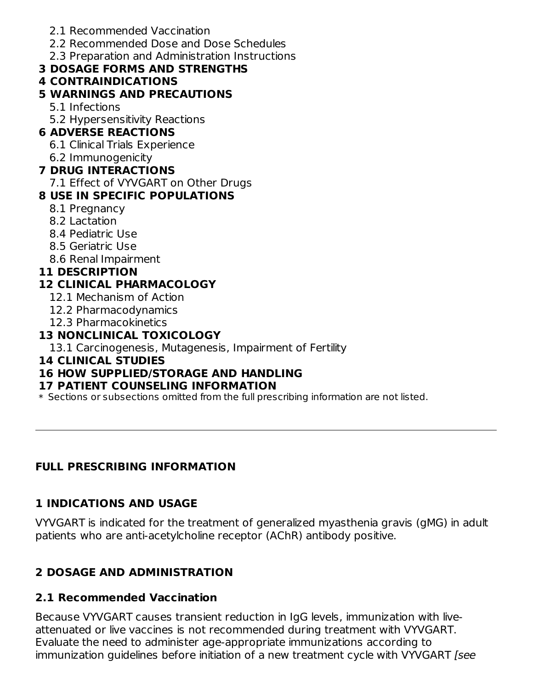- 2.1 Recommended Vaccination
- 2.2 Recommended Dose and Dose Schedules
- 2.3 Preparation and Administration Instructions

### **3 DOSAGE FORMS AND STRENGTHS**

#### **4 CONTRAINDICATIONS**

### **5 WARNINGS AND PRECAUTIONS**

- 5.1 Infections
- 5.2 Hypersensitivity Reactions

### **6 ADVERSE REACTIONS**

- 6.1 Clinical Trials Experience
- 6.2 Immunogenicity

### **7 DRUG INTERACTIONS**

7.1 Effect of VYVGART on Other Drugs

### **8 USE IN SPECIFIC POPULATIONS**

- 8.1 Pregnancy
- 8.2 Lactation
- 8.4 Pediatric Use
- 8.5 Geriatric Use
- 8.6 Renal Impairment

### **11 DESCRIPTION**

# **12 CLINICAL PHARMACOLOGY**

- 12.1 Mechanism of Action
- 12.2 Pharmacodynamics
- 12.3 Pharmacokinetics

### **13 NONCLINICAL TOXICOLOGY**

13.1 Carcinogenesis, Mutagenesis, Impairment of Fertility

### **14 CLINICAL STUDIES**

# **16 HOW SUPPLIED/STORAGE AND HANDLING**

### **17 PATIENT COUNSELING INFORMATION**

\* Sections or subsections omitted from the full prescribing information are not listed.

# **FULL PRESCRIBING INFORMATION**

# **1 INDICATIONS AND USAGE**

VYVGART is indicated for the treatment of generalized myasthenia gravis (gMG) in adult patients who are anti-acetylcholine receptor (AChR) antibody positive.

# **2 DOSAGE AND ADMINISTRATION**

# **2.1 Recommended Vaccination**

Because VYVGART causes transient reduction in IgG levels, immunization with liveattenuated or live vaccines is not recommended during treatment with VYVGART. Evaluate the need to administer age-appropriate immunizations according to immunization guidelines before initiation of a new treatment cycle with VYVGART [see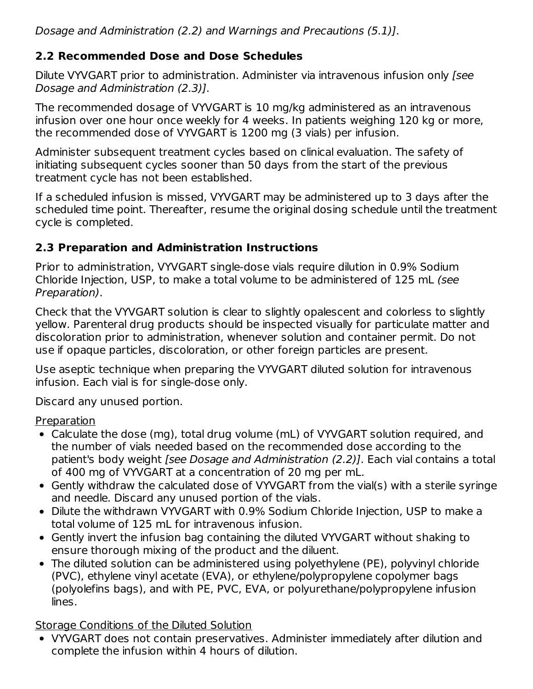Dosage and Administration (2.2) and Warnings and Precautions (5.1)].

### **2.2 Recommended Dose and Dose Schedules**

Dilute VYVGART prior to administration. Administer via intravenous infusion only [see Dosage and Administration (2.3)].

The recommended dosage of VYVGART is 10 mg/kg administered as an intravenous infusion over one hour once weekly for 4 weeks. In patients weighing 120 kg or more, the recommended dose of VYVGART is 1200 mg (3 vials) per infusion.

Administer subsequent treatment cycles based on clinical evaluation. The safety of initiating subsequent cycles sooner than 50 days from the start of the previous treatment cycle has not been established.

If a scheduled infusion is missed, VYVGART may be administered up to 3 days after the scheduled time point. Thereafter, resume the original dosing schedule until the treatment cycle is completed.

### **2.3 Preparation and Administration Instructions**

Prior to administration, VYVGART single-dose vials require dilution in 0.9% Sodium Chloride Injection, USP, to make a total volume to be administered of 125 mL (see Preparation).

Check that the VYVGART solution is clear to slightly opalescent and colorless to slightly yellow. Parenteral drug products should be inspected visually for particulate matter and discoloration prior to administration, whenever solution and container permit. Do not use if opaque particles, discoloration, or other foreign particles are present.

Use aseptic technique when preparing the VYVGART diluted solution for intravenous infusion. Each vial is for single-dose only.

Discard any unused portion.

Preparation

- Calculate the dose (mg), total drug volume (mL) of VYVGART solution required, and the number of vials needed based on the recommended dose according to the patient's body weight *[see Dosage and Administration (2.2)]*. Each vial contains a total of 400 mg of VYVGART at a concentration of 20 mg per mL.
- Gently withdraw the calculated dose of VYVGART from the vial(s) with a sterile syringe and needle. Discard any unused portion of the vials.
- Dilute the withdrawn VYVGART with 0.9% Sodium Chloride Injection, USP to make a total volume of 125 mL for intravenous infusion.
- Gently invert the infusion bag containing the diluted VYVGART without shaking to ensure thorough mixing of the product and the diluent.
- The diluted solution can be administered using polyethylene (PE), polyvinyl chloride (PVC), ethylene vinyl acetate (EVA), or ethylene/polypropylene copolymer bags (polyolefins bags), and with PE, PVC, EVA, or polyurethane/polypropylene infusion lines.

### Storage Conditions of the Diluted Solution

VYVGART does not contain preservatives. Administer immediately after dilution and complete the infusion within 4 hours of dilution.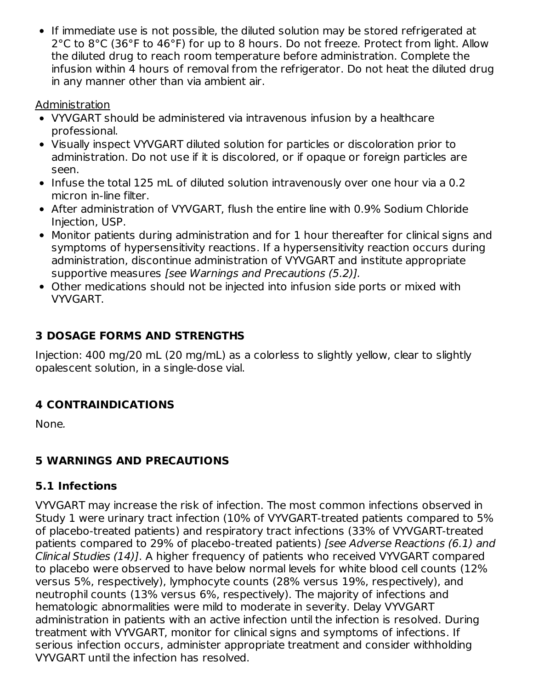If immediate use is not possible, the diluted solution may be stored refrigerated at 2°C to 8°C (36°F to 46°F) for up to 8 hours. Do not freeze. Protect from light. Allow the diluted drug to reach room temperature before administration. Complete the infusion within 4 hours of removal from the refrigerator. Do not heat the diluted drug in any manner other than via ambient air.

#### **Administration**

- VYVGART should be administered via intravenous infusion by a healthcare professional.
- Visually inspect VYVGART diluted solution for particles or discoloration prior to administration. Do not use if it is discolored, or if opaque or foreign particles are seen.
- Infuse the total 125 mL of diluted solution intravenously over one hour via a 0.2 micron in-line filter.
- After administration of VYVGART, flush the entire line with 0.9% Sodium Chloride Injection, USP.
- Monitor patients during administration and for 1 hour thereafter for clinical signs and symptoms of hypersensitivity reactions. If a hypersensitivity reaction occurs during administration, discontinue administration of VYVGART and institute appropriate supportive measures [see Warnings and Precautions (5.2)].
- Other medications should not be injected into infusion side ports or mixed with VYVGART.

### **3 DOSAGE FORMS AND STRENGTHS**

Injection: 400 mg/20 mL (20 mg/mL) as a colorless to slightly yellow, clear to slightly opalescent solution, in a single-dose vial.

### **4 CONTRAINDICATIONS**

None.

### **5 WARNINGS AND PRECAUTIONS**

### **5.1 Infections**

VYVGART may increase the risk of infection. The most common infections observed in Study 1 were urinary tract infection (10% of VYVGART-treated patients compared to 5% of placebo-treated patients) and respiratory tract infections (33% of VYVGART-treated patients compared to 29% of placebo-treated patients) [see Adverse Reactions (6.1) and Clinical Studies (14)]. A higher frequency of patients who received VYVGART compared to placebo were observed to have below normal levels for white blood cell counts (12% versus 5%, respectively), lymphocyte counts (28% versus 19%, respectively), and neutrophil counts (13% versus 6%, respectively). The majority of infections and hematologic abnormalities were mild to moderate in severity. Delay VYVGART administration in patients with an active infection until the infection is resolved. During treatment with VYVGART, monitor for clinical signs and symptoms of infections. If serious infection occurs, administer appropriate treatment and consider withholding VYVGART until the infection has resolved.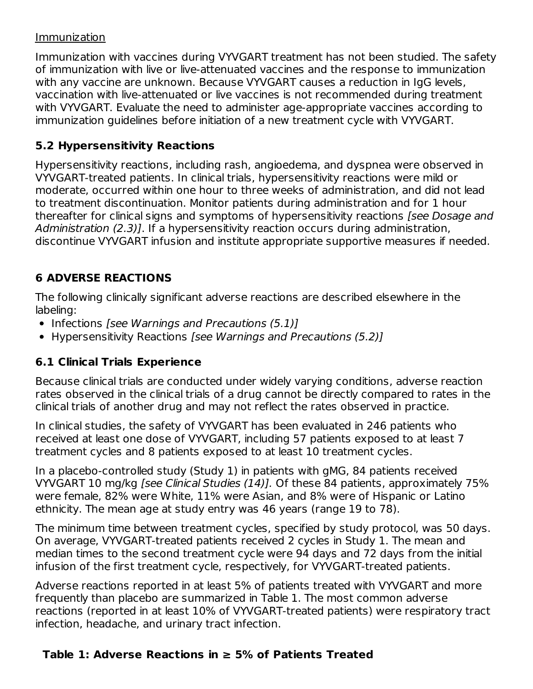#### Immunization

Immunization with vaccines during VYVGART treatment has not been studied. The safety of immunization with live or live-attenuated vaccines and the response to immunization with any vaccine are unknown. Because VYVGART causes a reduction in IgG levels, vaccination with live-attenuated or live vaccines is not recommended during treatment with VYVGART. Evaluate the need to administer age-appropriate vaccines according to immunization guidelines before initiation of a new treatment cycle with VYVGART.

### **5.2 Hypersensitivity Reactions**

Hypersensitivity reactions, including rash, angioedema, and dyspnea were observed in VYVGART-treated patients. In clinical trials, hypersensitivity reactions were mild or moderate, occurred within one hour to three weeks of administration, and did not lead to treatment discontinuation. Monitor patients during administration and for 1 hour thereafter for clinical signs and symptoms of hypersensitivity reactions [see Dosage and Administration (2.3)]. If a hypersensitivity reaction occurs during administration, discontinue VYVGART infusion and institute appropriate supportive measures if needed.

### **6 ADVERSE REACTIONS**

The following clinically significant adverse reactions are described elsewhere in the labeling:

- $\bullet$  Infections [see Warnings and Precautions (5.1)]
- Hypersensitivity Reactions [see Warnings and Precautions (5.2)]

### **6.1 Clinical Trials Experience**

Because clinical trials are conducted under widely varying conditions, adverse reaction rates observed in the clinical trials of a drug cannot be directly compared to rates in the clinical trials of another drug and may not reflect the rates observed in practice.

In clinical studies, the safety of VYVGART has been evaluated in 246 patients who received at least one dose of VYVGART, including 57 patients exposed to at least 7 treatment cycles and 8 patients exposed to at least 10 treatment cycles.

In a placebo-controlled study (Study 1) in patients with gMG, 84 patients received VYVGART 10 mg/kg [see Clinical Studies (14)]. Of these 84 patients, approximately 75% were female, 82% were White, 11% were Asian, and 8% were of Hispanic or Latino ethnicity. The mean age at study entry was 46 years (range 19 to 78).

The minimum time between treatment cycles, specified by study protocol, was 50 days. On average, VYVGART-treated patients received 2 cycles in Study 1. The mean and median times to the second treatment cycle were 94 days and 72 days from the initial infusion of the first treatment cycle, respectively, for VYVGART-treated patients.

Adverse reactions reported in at least 5% of patients treated with VYVGART and more frequently than placebo are summarized in Table 1. The most common adverse reactions (reported in at least 10% of VYVGART-treated patients) were respiratory tract infection, headache, and urinary tract infection.

### **Table 1: Adverse Reactions in ≥ 5% of Patients Treated**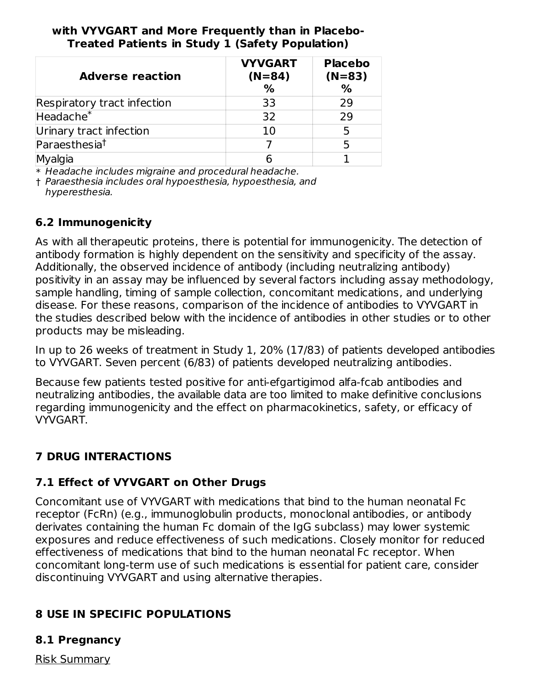#### **with VYVGART and More Frequently than in Placebo-Treated Patients in Study 1 (Safety Population)**

| <b>Adverse reaction</b>     | <b>VYVGART</b><br>$(N=84)$<br>% | <b>Placebo</b><br>$(N=83)$<br>$\frac{0}{0}$ |  |
|-----------------------------|---------------------------------|---------------------------------------------|--|
| Respiratory tract infection | 33                              | 29                                          |  |
| Headache <sup>*</sup>       | 32                              | 29                                          |  |
| Urinary tract infection     | 10                              |                                             |  |
| Paraesthesia <sup>t</sup>   |                                 |                                             |  |
|                             |                                 |                                             |  |

\* Headache includes migraine and procedural headache.

† Paraesthesia includes oral hypoesthesia, hypoesthesia, and hyperesthesia.

### **6.2 Immunogenicity**

As with all therapeutic proteins, there is potential for immunogenicity. The detection of antibody formation is highly dependent on the sensitivity and specificity of the assay. Additionally, the observed incidence of antibody (including neutralizing antibody) positivity in an assay may be influenced by several factors including assay methodology, sample handling, timing of sample collection, concomitant medications, and underlying disease. For these reasons, comparison of the incidence of antibodies to VYVGART in the studies described below with the incidence of antibodies in other studies or to other products may be misleading.

In up to 26 weeks of treatment in Study 1, 20% (17/83) of patients developed antibodies to VYVGART. Seven percent (6/83) of patients developed neutralizing antibodies.

Because few patients tested positive for anti-efgartigimod alfa-fcab antibodies and neutralizing antibodies, the available data are too limited to make definitive conclusions regarding immunogenicity and the effect on pharmacokinetics, safety, or efficacy of VYVGART.

### **7 DRUG INTERACTIONS**

### **7.1 Effect of VYVGART on Other Drugs**

Concomitant use of VYVGART with medications that bind to the human neonatal Fc receptor (FcRn) (e.g., immunoglobulin products, monoclonal antibodies, or antibody derivates containing the human Fc domain of the IgG subclass) may lower systemic exposures and reduce effectiveness of such medications. Closely monitor for reduced effectiveness of medications that bind to the human neonatal Fc receptor. When concomitant long-term use of such medications is essential for patient care, consider discontinuing VYVGART and using alternative therapies.

### **8 USE IN SPECIFIC POPULATIONS**

#### **8.1 Pregnancy**

Risk Summary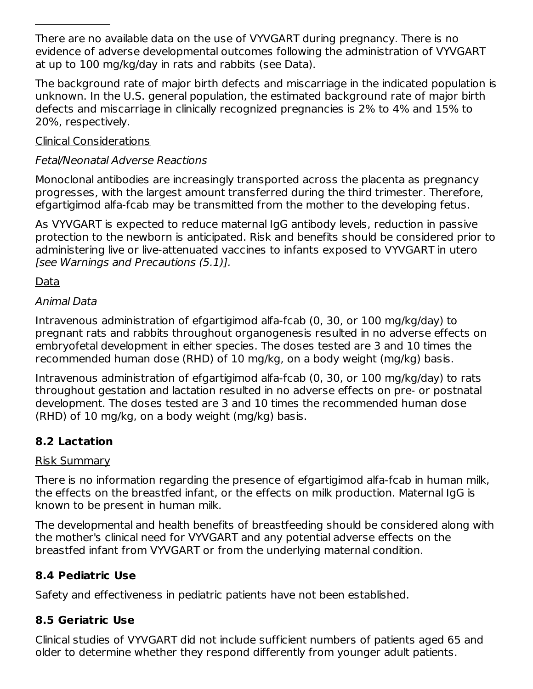There are no available data on the use of VYVGART during pregnancy. There is no evidence of adverse developmental outcomes following the administration of VYVGART at up to 100 mg/kg/day in rats and rabbits (see Data).

The background rate of major birth defects and miscarriage in the indicated population is unknown. In the U.S. general population, the estimated background rate of major birth defects and miscarriage in clinically recognized pregnancies is 2% to 4% and 15% to 20%, respectively.

#### Clinical Considerations

<u>Risk Summary (1980)</u>

### Fetal/Neonatal Adverse Reactions

Monoclonal antibodies are increasingly transported across the placenta as pregnancy progresses, with the largest amount transferred during the third trimester. Therefore, efgartigimod alfa-fcab may be transmitted from the mother to the developing fetus.

As VYVGART is expected to reduce maternal IgG antibody levels, reduction in passive protection to the newborn is anticipated. Risk and benefits should be considered prior to administering live or live-attenuated vaccines to infants exposed to VYVGART in utero [see Warnings and Precautions (5.1)].

Data

#### Animal Data

Intravenous administration of efgartigimod alfa-fcab (0, 30, or 100 mg/kg/day) to pregnant rats and rabbits throughout organogenesis resulted in no adverse effects on embryofetal development in either species. The doses tested are 3 and 10 times the recommended human dose (RHD) of 10 mg/kg, on a body weight (mg/kg) basis.

Intravenous administration of efgartigimod alfa-fcab (0, 30, or 100 mg/kg/day) to rats throughout gestation and lactation resulted in no adverse effects on pre- or postnatal development. The doses tested are 3 and 10 times the recommended human dose (RHD) of 10 mg/kg, on a body weight (mg/kg) basis.

### **8.2 Lactation**

### Risk Summary

There is no information regarding the presence of efgartigimod alfa-fcab in human milk, the effects on the breastfed infant, or the effects on milk production. Maternal IgG is known to be present in human milk.

The developmental and health benefits of breastfeeding should be considered along with the mother's clinical need for VYVGART and any potential adverse effects on the breastfed infant from VYVGART or from the underlying maternal condition.

### **8.4 Pediatric Use**

Safety and effectiveness in pediatric patients have not been established.

### **8.5 Geriatric Use**

Clinical studies of VYVGART did not include sufficient numbers of patients aged 65 and older to determine whether they respond differently from younger adult patients.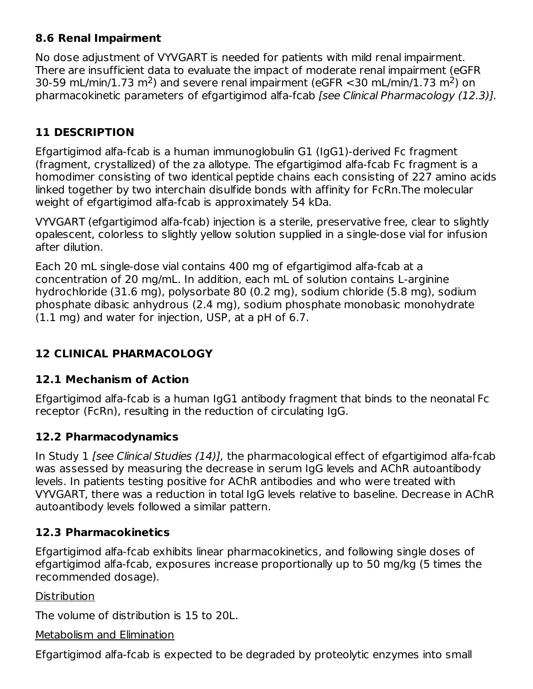### **8.6 Renal Impairment**

No dose adjustment of VYVGART is needed for patients with mild renal impairment. There are insufficient data to evaluate the impact of moderate renal impairment (eGFR 30-59 mL/min/1.73 m<sup>2</sup>) and severe renal impairment (eGFR <30 mL/min/1.73 m<sup>2</sup>) on pharmacokinetic parameters of efgartigimod alfa-fcab [see Clinical Pharmacology (12.3)].

### **11 DESCRIPTION**

Efgartigimod alfa-fcab is a human immunoglobulin G1 (IgG1)-derived Fc fragment (fragment, crystallized) of the za allotype. The efgartigimod alfa-fcab Fc fragment is a homodimer consisting of two identical peptide chains each consisting of 227 amino acids linked together by two interchain disulfide bonds with affinity for FcRn.The molecular weight of efgartigimod alfa-fcab is approximately 54 kDa.

VYVGART (efgartigimod alfa-fcab) injection is a sterile, preservative free, clear to slightly opalescent, colorless to slightly yellow solution supplied in a single-dose vial for infusion after dilution.

Each 20 mL single-dose vial contains 400 mg of efgartigimod alfa-fcab at a concentration of 20 mg/mL. In addition, each mL of solution contains L-arginine hydrochloride (31.6 mg), polysorbate 80 (0.2 mg), sodium chloride (5.8 mg), sodium phosphate dibasic anhydrous (2.4 mg), sodium phosphate monobasic monohydrate (1.1 mg) and water for injection, USP, at a pH of 6.7.

### **12 CLINICAL PHARMACOLOGY**

### **12.1 Mechanism of Action**

Efgartigimod alfa-fcab is a human IgG1 antibody fragment that binds to the neonatal Fc receptor (FcRn), resulting in the reduction of circulating IgG.

### **12.2 Pharmacodynamics**

In Study 1 [see Clinical Studies (14)], the pharmacological effect of efgartigimod alfa-fcab was assessed by measuring the decrease in serum IgG levels and AChR autoantibody levels. In patients testing positive for AChR antibodies and who were treated with VYVGART, there was a reduction in total IgG levels relative to baseline. Decrease in AChR autoantibody levels followed a similar pattern.

### **12.3 Pharmacokinetics**

Efgartigimod alfa-fcab exhibits linear pharmacokinetics, and following single doses of efgartigimod alfa-fcab, exposures increase proportionally up to 50 mg/kg (5 times the recommended dosage).

Distribution

The volume of distribution is 15 to 20L.

#### Metabolism and Elimination

Efgartigimod alfa-fcab is expected to be degraded by proteolytic enzymes into small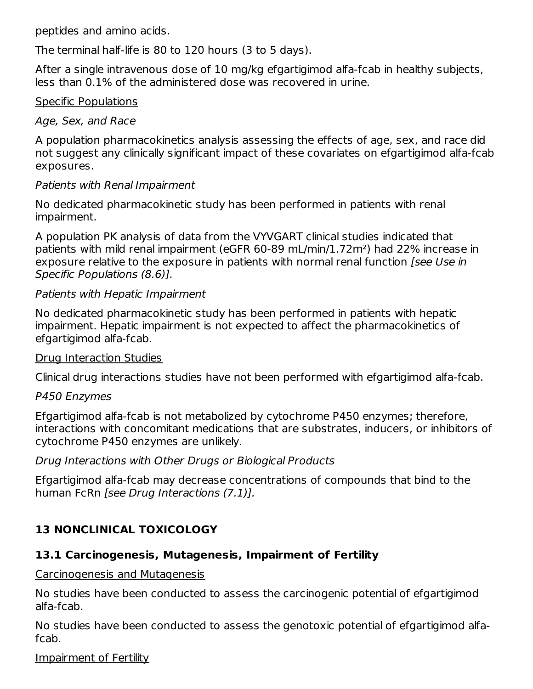peptides and amino acids.

The terminal half-life is 80 to 120 hours (3 to 5 days).

After a single intravenous dose of 10 mg/kg efgartigimod alfa-fcab in healthy subjects, less than 0.1% of the administered dose was recovered in urine.

#### Specific Populations

#### Age, Sex, and Race

A population pharmacokinetics analysis assessing the effects of age, sex, and race did not suggest any clinically significant impact of these covariates on efgartigimod alfa-fcab exposures.

#### Patients with Renal Impairment

No dedicated pharmacokinetic study has been performed in patients with renal impairment.

A population PK analysis of data from the VYVGART clinical studies indicated that patients with mild renal impairment (eGFR 60-89 mL/min/1.72m²) had 22% increase in exposure relative to the exposure in patients with normal renal function [see Use in Specific Populations (8.6)].

#### Patients with Hepatic Impairment

No dedicated pharmacokinetic study has been performed in patients with hepatic impairment. Hepatic impairment is not expected to affect the pharmacokinetics of efgartigimod alfa-fcab.

#### Drug Interaction Studies

Clinical drug interactions studies have not been performed with efgartigimod alfa-fcab.

### P450 Enzymes

Efgartigimod alfa-fcab is not metabolized by cytochrome P450 enzymes; therefore, interactions with concomitant medications that are substrates, inducers, or inhibitors of cytochrome P450 enzymes are unlikely.

#### Drug Interactions with Other Drugs or Biological Products

Efgartigimod alfa-fcab may decrease concentrations of compounds that bind to the human FcRn [see Drug Interactions (7.1)].

# **13 NONCLINICAL TOXICOLOGY**

### **13.1 Carcinogenesis, Mutagenesis, Impairment of Fertility**

#### Carcinogenesis and Mutagenesis

No studies have been conducted to assess the carcinogenic potential of efgartigimod alfa-fcab.

No studies have been conducted to assess the genotoxic potential of efgartigimod alfafcab.

Impairment of Fertility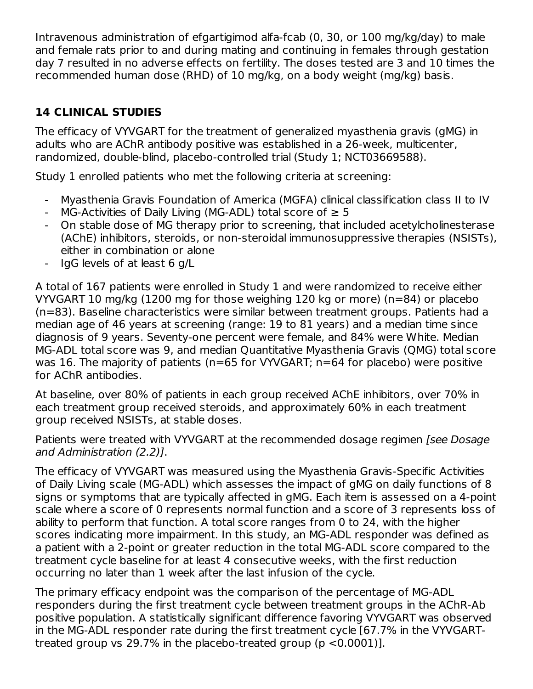Intravenous administration of efgartigimod alfa-fcab (0, 30, or 100 mg/kg/day) to male and female rats prior to and during mating and continuing in females through gestation day 7 resulted in no adverse effects on fertility. The doses tested are 3 and 10 times the recommended human dose (RHD) of 10 mg/kg, on a body weight (mg/kg) basis.

### **14 CLINICAL STUDIES**

The efficacy of VYVGART for the treatment of generalized myasthenia gravis (gMG) in adults who are AChR antibody positive was established in a 26-week, multicenter, randomized, double-blind, placebo-controlled trial (Study 1; NCT03669588).

Study 1 enrolled patients who met the following criteria at screening:

- Myasthenia Gravis Foundation of America (MGFA) clinical classification class II to IV
- MG-Activities of Daily Living (MG-ADL) total score of  $\geq 5$
- On stable dose of MG therapy prior to screening, that included acetylcholinesterase (AChE) inhibitors, steroids, or non-steroidal immunosuppressive therapies (NSISTs), either in combination or alone
- IgG levels of at least 6 g/L

A total of 167 patients were enrolled in Study 1 and were randomized to receive either VYVGART 10 mg/kg (1200 mg for those weighing 120 kg or more) (n=84) or placebo (n=83). Baseline characteristics were similar between treatment groups. Patients had a median age of 46 years at screening (range: 19 to 81 years) and a median time since diagnosis of 9 years. Seventy-one percent were female, and 84% were White. Median MG-ADL total score was 9, and median Quantitative Myasthenia Gravis (QMG) total score was 16. The majority of patients (n=65 for VYVGART; n=64 for placebo) were positive for AChR antibodies.

At baseline, over 80% of patients in each group received AChE inhibitors, over 70% in each treatment group received steroids, and approximately 60% in each treatment group received NSISTs, at stable doses.

Patients were treated with VYVGART at the recommended dosage regimen [see Dosage and Administration (2.2)].

The efficacy of VYVGART was measured using the Myasthenia Gravis-Specific Activities of Daily Living scale (MG-ADL) which assesses the impact of gMG on daily functions of 8 signs or symptoms that are typically affected in gMG. Each item is assessed on a 4-point scale where a score of 0 represents normal function and a score of 3 represents loss of ability to perform that function. A total score ranges from 0 to 24, with the higher scores indicating more impairment. In this study, an MG-ADL responder was defined as a patient with a 2-point or greater reduction in the total MG-ADL score compared to the treatment cycle baseline for at least 4 consecutive weeks, with the first reduction occurring no later than 1 week after the last infusion of the cycle.

The primary efficacy endpoint was the comparison of the percentage of MG-ADL responders during the first treatment cycle between treatment groups in the AChR-Ab positive population. A statistically significant difference favoring VYVGART was observed in the MG-ADL responder rate during the first treatment cycle [67.7% in the VYVGARTtreated group vs 29.7% in the placebo-treated group (p <0.0001)].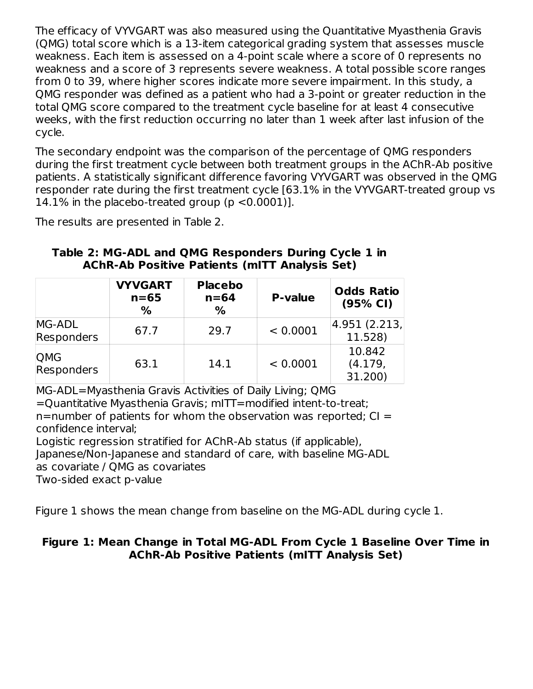The efficacy of VYVGART was also measured using the Quantitative Myasthenia Gravis (QMG) total score which is a 13-item categorical grading system that assesses muscle weakness. Each item is assessed on a 4-point scale where a score of 0 represents no weakness and a score of 3 represents severe weakness. A total possible score ranges from 0 to 39, where higher scores indicate more severe impairment. In this study, a QMG responder was defined as a patient who had a 3-point or greater reduction in the total QMG score compared to the treatment cycle baseline for at least 4 consecutive weeks, with the first reduction occurring no later than 1 week after last infusion of the cycle.

The secondary endpoint was the comparison of the percentage of QMG responders during the first treatment cycle between both treatment groups in the AChR-Ab positive patients. A statistically significant difference favoring VYVGART was observed in the QMG responder rate during the first treatment cycle [63.1% in the VYVGART-treated group vs 14.1% in the placebo-treated group (p <0.0001)].

The results are presented in Table 2.

|                          | <b>VYVGART</b><br>$n=65$<br>% | <b>Placebo</b><br>$n = 64$<br>$\%$ | <b>P-value</b> | <b>Odds Ratio</b><br>(95% CI) |
|--------------------------|-------------------------------|------------------------------------|----------------|-------------------------------|
| MG-ADL<br>Responders     | 67.7                          | 29.7                               | < 0.0001       | 4.951 (2.213,<br>11.528)      |
| QMG<br><b>Responders</b> | 63.1                          | 14.1                               | < 0.0001       | 10.842<br>(4.179,<br>31.200)  |

#### **Table 2: MG-ADL and QMG Responders During Cycle 1 in AChR-Ab Positive Patients (mITT Analysis Set)**

MG-ADL=Myasthenia Gravis Activities of Daily Living; QMG =Quantitative Myasthenia Gravis; mITT=modified intent-to-treat;  $n=$ number of patients for whom the observation was reported;  $Cl =$ confidence interval; Logistic regression stratified for AChR-Ab status (if applicable),

Japanese/Non-Japanese and standard of care, with baseline MG-ADL

as covariate / QMG as covariates

Two-sided exact p-value

Figure 1 shows the mean change from baseline on the MG-ADL during cycle 1.

#### **Figure 1: Mean Change in Total MG-ADL From Cycle 1 Baseline Over Time in AChR-Ab Positive Patients (mITT Analysis Set)**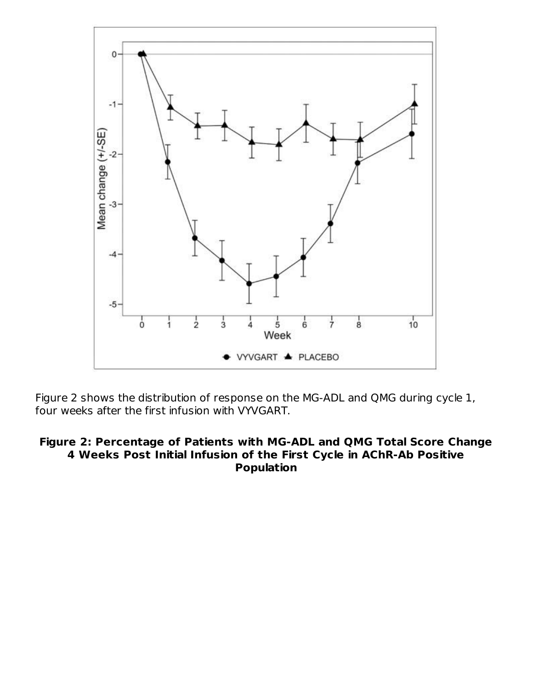

Figure 2 shows the distribution of response on the MG-ADL and QMG during cycle 1, four weeks after the first infusion with VYVGART.

#### **Figure 2: Percentage of Patients with MG-ADL and QMG Total Score Change 4 Weeks Post Initial Infusion of the First Cycle in AChR-Ab Positive Population**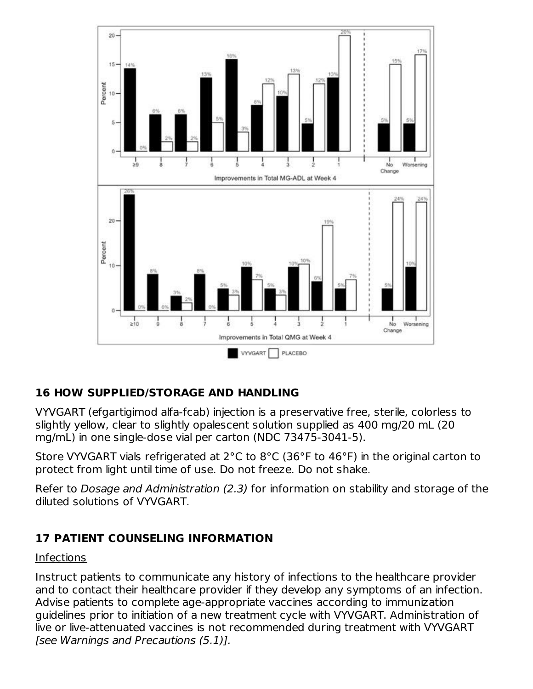

### **16 HOW SUPPLIED/STORAGE AND HANDLING**

VYVGART (efgartigimod alfa-fcab) injection is a preservative free, sterile, colorless to slightly yellow, clear to slightly opalescent solution supplied as 400 mg/20 mL (20 mg/mL) in one single-dose vial per carton (NDC 73475-3041-5).

Store VYVGART vials refrigerated at 2°C to 8°C (36°F to 46°F) in the original carton to protect from light until time of use. Do not freeze. Do not shake.

Refer to Dosage and Administration (2.3) for information on stability and storage of the diluted solutions of VYVGART.

### **17 PATIENT COUNSELING INFORMATION**

#### Infections

Instruct patients to communicate any history of infections to the healthcare provider and to contact their healthcare provider if they develop any symptoms of an infection. Advise patients to complete age-appropriate vaccines according to immunization guidelines prior to initiation of a new treatment cycle with VYVGART. Administration of live or live-attenuated vaccines is not recommended during treatment with VYVGART [see Warnings and Precautions (5.1)].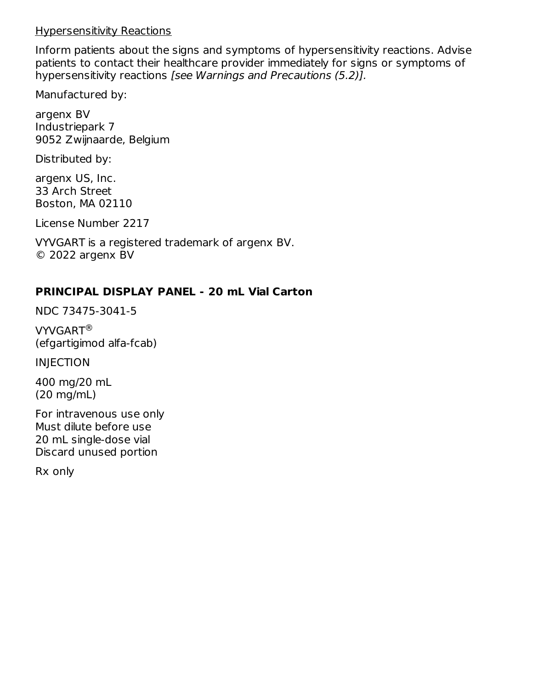#### Hypersensitivity Reactions

Inform patients about the signs and symptoms of hypersensitivity reactions. Advise patients to contact their healthcare provider immediately for signs or symptoms of hypersensitivity reactions [see Warnings and Precautions (5.2)].

Manufactured by:

argenx BV Industriepark 7 9052 Zwijnaarde, Belgium

Distributed by:

argenx US, Inc. 33 Arch Street Boston, MA 02110

License Number 2217

VYVGART is a registered trademark of argenx BV. © 2022 argenx BV

#### **PRINCIPAL DISPLAY PANEL - 20 mL Vial Carton**

NDC 73475-3041-5

VYVGART ®(efgartigimod alfa-fcab)

INJECTION

400 mg/20 mL (20 mg/mL)

For intravenous use only Must dilute before use 20 mL single-dose vial Discard unused portion

Rx only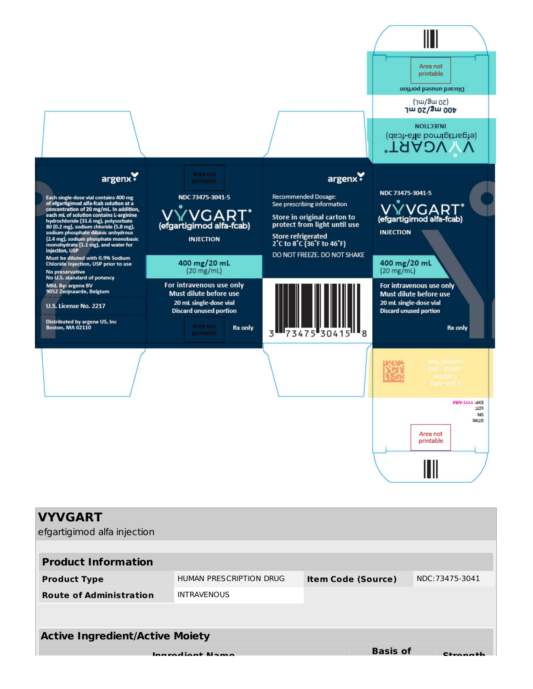

#### **Active Ingredient/Active Moiety**

**Ingredient Name**

**Basis** of